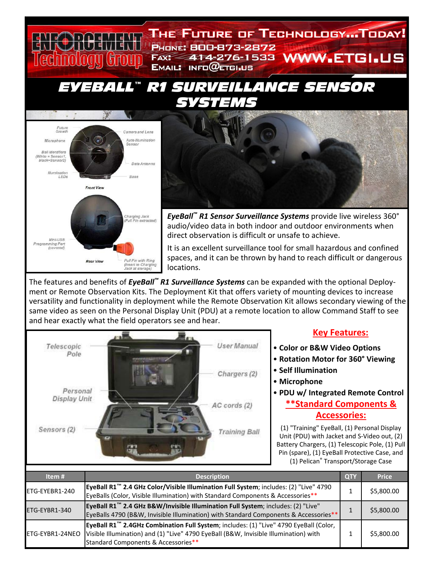







*EyeBall™ R1 Sensor Surveillance Systems* provide live wireless 360° audio/video data in both indoor and outdoor environments when direct observation is difficult or unsafe to achieve.

It is an excellent surveillance tool for small hazardous and confined spaces, and it can be thrown by hand to reach difficult or dangerous locations.

The features and benefits of *EyeBall™ R1 Surveillance Systems* can be expanded with the optional Deploy‐ ment or Remote Observation Kits. The Deployment Kit that offers variety of mounting devices to increase versatility and functionality in deployment while the Remote Observation Kit allows secondary viewing of the same video as seen on the Personal Display Unit (PDU) at a remote location to allow Command Staff to see and hear exactly what the field operators see and hear.



## **Key Features:**

- **Color or B&W Video Options**
- **Rotation Motor for 360° Viewing**
- **Self Illumination**
- **Microphone**

# • **PDU w/ Integrated Remote Control \*\*Standard Components & Accessories:**

(1) "Training" EyeBall, (1) Personal Display Unit (PDU) with Jacket and S‐Video out, (2) Battery Chargers, (1) Telescopic Pole, (1) Pull Pin (spare), (1) EyeBall Protective Case, and (1) Pelican® Transport/Storage Case

| Item #          | <b>Description</b>                                                                                                                                                                                                               | <b>QTY</b> | <b>Price</b> |
|-----------------|----------------------------------------------------------------------------------------------------------------------------------------------------------------------------------------------------------------------------------|------------|--------------|
| ETG-EYEBR1-240  | EyeBall R1 <sup>™</sup> 2.4 GHz Color/Visible Illumination Full System; includes: (2) "Live" 4790<br>EyeBalls (Color, Visible Illumination) with Standard Components & Accessories**                                             |            | \$5,800.00   |
| ETG-EYBR1-340   | EyeBall R1 <sup>™</sup> 2.4 GHz B&W/Invisible Illumination Full System; includes: (2) "Live"<br>EyeBalls 4790 (B&W, Invisible Illumination) with Standard Components & Accessories**                                             |            | \$5,800.00   |
| ETG-EYBR1-24NEO | EyeBall R1 <sup>™</sup> 2.4GHz Combination Full System; includes: (1) "Live" 4790 EyeBall (Color,<br>Visible Illumination) and (1) "Live" 4790 EyeBall (B&W, Invisible Illumination) with<br>Standard Components & Accessories** |            | \$5,800.00   |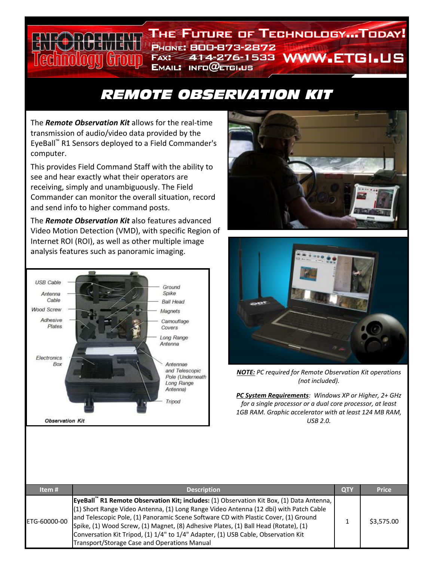#### **THE FUTURE OF TECHNOLOGY...TODAY! PHONE: 800-873-2872** FAX: 414-276-1533 WWW.ETGI.US hnology (troup  $E$ MAIL: INFO $@$ ETGI.US

# *REMOTE OBSERVATION KIT*

The *Remote Observation Kit* allows for the real‐time transmission of audio/video data provided by the EyeBall™ R1 Sensors deployed to a Field Commander's computer.

This provides Field Command Staff with the ability to see and hear exactly what their operators are receiving, simply and unambiguously. The Field Commander can monitor the overall situation, record and send info to higher command posts.

The *Remote Observation Kit* also features advanced Video Motion Detection (VMD), with specific Region of Internet ROI (ROI), as well as other multiple image analysis features such as panoramic imaging.







*NOTE: PC required for Remote Observation Kit operations (not included).*

*PC System Requirements: Windows XP or Higher, 2+ GHz for a single processor or a dual core processor, at least 1GB RAM. Graphic accelerator with at least 124 MB RAM, USB 2.0.*

| Item#        | <b>Description</b>                                                                                                                                                                                                                                                                                                                                                                                                                                                                                   | <b>QTY</b> | <b>Price</b> |
|--------------|------------------------------------------------------------------------------------------------------------------------------------------------------------------------------------------------------------------------------------------------------------------------------------------------------------------------------------------------------------------------------------------------------------------------------------------------------------------------------------------------------|------------|--------------|
| ETG-60000-00 | EyeBall" R1 Remote Observation Kit; includes: (1) Observation Kit Box, (1) Data Antenna,<br>(1) Short Range Video Antenna, (1) Long Range Video Antenna (12 dbi) with Patch Cable<br>and Telescopic Pole, (1) Panoramic Scene Software CD with Plastic Cover, (1) Ground<br>Spike, (1) Wood Screw, (1) Magnet, (8) Adhesive Plates, (1) Ball Head (Rotate), (1)<br>Conversation Kit Tripod, (1) 1/4" to 1/4" Adapter, (1) USB Cable, Observation Kit<br>Transport/Storage Case and Operations Manual |            | \$3,575.00   |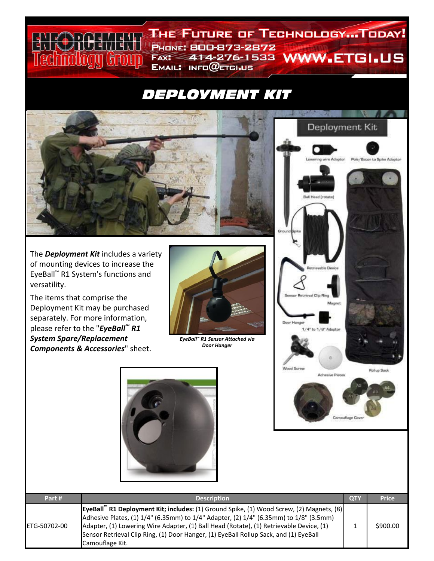# *DEPLOYMENT KIT*

**PHONE: 800-873-2872** 

EMAIL: INFO@ETGI.US

THE FUTURE OF TECHNOLOGY...TODAY!

FAX: 414-276-1533 WWW.ETGI.US



The *Deployment Kit* includes a variety of mounting devices to increase the EyeBall™ R1 System's functions and versatility.

 $H$ anti

edinology Group

 $\frac{1}{1}$ 

The items that comprise the Deployment Kit may be purchased separately. For more information, please refer to the "*EyeBall™ R1 System Spare/Replacement Components & Accessories*" sheet.



*EyeBall™ R1 Sensor Attached via Door Hanger*





| Part #       | <b>Description</b>                                                                                                                                                                                                                                                                                                                                                                                   | <b>QTY</b> | <b>Price</b> |
|--------------|------------------------------------------------------------------------------------------------------------------------------------------------------------------------------------------------------------------------------------------------------------------------------------------------------------------------------------------------------------------------------------------------------|------------|--------------|
| ETG-50702-00 | EyeBall <sup>"</sup> R1 Deployment Kit; includes: (1) Ground Spike, (1) Wood Screw, (2) Magnets, (8)<br>Adhesive Plates, (1) 1/4" (6.35mm) to 1/4" Adapter, (2) 1/4" (6.35mm) to 1/8" (3.5mm)<br>Adapter, (1) Lowering Wire Adapter, (1) Ball Head (Rotate), (1) Retrievable Device, (1)<br>Sensor Retrieval Clip Ring, (1) Door Hanger, (1) EyeBall Rollup Sack, and (1) EyeBall<br>Camouflage Kit. |            | \$900.00     |